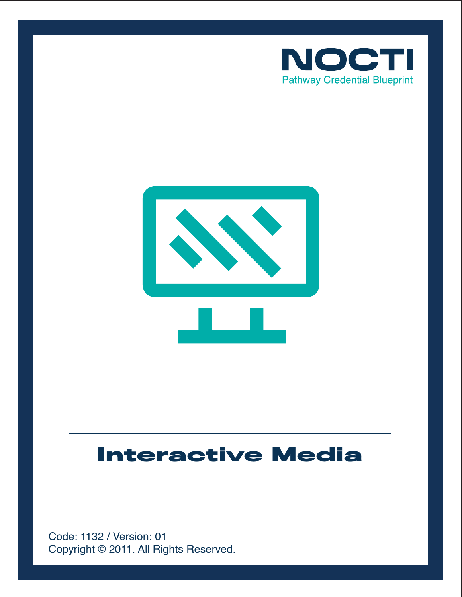



# **Interactive Media**

Copyright © 2011. All Rights Reserved. Code: 1132 / Version: 01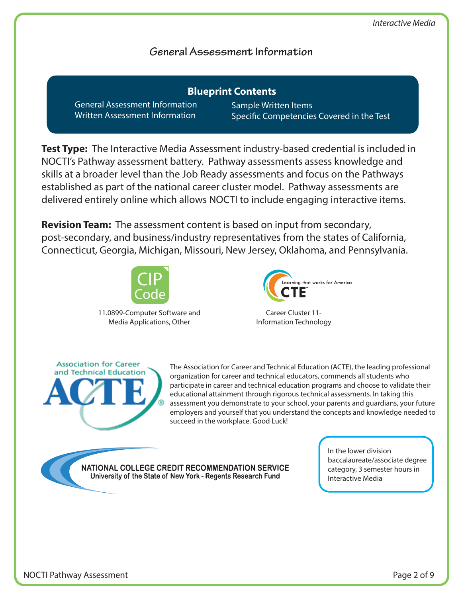## **General Assessment Information**

General Assessment Information Written Assessment Information **Blueprint Contents**

Sample Written Items Specific Competencies Covered in the Test

**Test Type:** The Interactive Media Assessment industry-based credential is included in NOCTI's Pathway assessment battery. Pathway assessments assess knowledge and skills at a broader level than the Job Ready assessments and focus on the Pathways established as part of the national career cluster model. Pathway assessments are delivered entirely online which allows NOCTI to include engaging interactive items.

**Revision Team:** The assessment content is based on input from secondary, post-secondary, and business/industry representatives from the states of California, Connecticut, Georgia, Michigan, Missouri, New Jersey, Oklahoma, and Pennsylvania.



11.0899-Computer Software and Media Applications, Other



Career Cluster 11- Information Technology



The Association for Career and Technical Education (ACTE), the leading professional organization for career and technical educators, commends all students who participate in career and technical education programs and choose to validate their educational attainment through rigorous technical assessments. In taking this assessment you demonstrate to your school, your parents and guardians, your future employers and yourself that you understand the concepts and knowledge needed to succeed in the workplace. Good Luck!

NATIONAL COLLEGE CREDIT RECOMMENDATION SERVICE University of the State of New York - Regents Research Fund

In the lower division baccalaureate/associate degree category, 3 semester hours in Interactive Media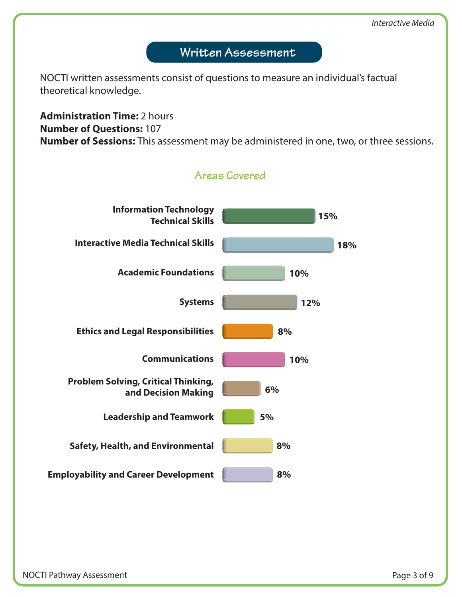# Written Assessment

NOCTI written assessments consist of questions to measure an individual's factual theoretical knowledge.

**Administration Time:** 2 hours **Number of Questions:** 107 **Number of Sessions:** This assessment may be administered in one, two, or three sessions.

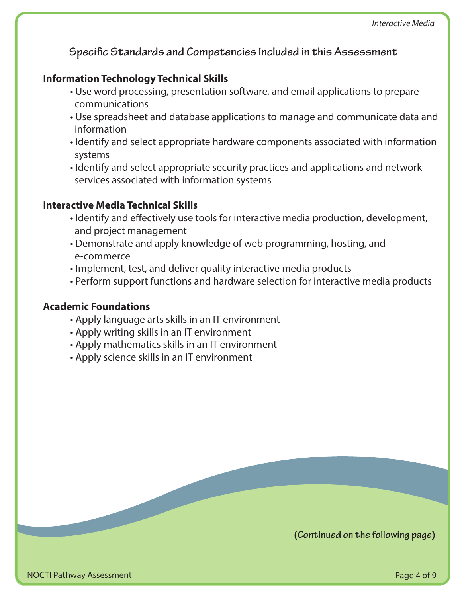**Specific Standards and Competencies Included in this Assessment** 

## **Information Technology Technical Skills**

- Use word processing, presentation software, and email applications to prepare communications
- Use spreadsheet and database applications to manage and communicate data and information
- Identify and select appropriate hardware components associated with information systems
- Identify and select appropriate security practices and applications and network services associated with information systems

## **Interactive Media Technical Skills**

- Identify and effectively use tools for interactive media production, development, and project management
- Demonstrate and apply knowledge of web programming, hosting, and e-commerce
- Implement, test, and deliver quality interactive media products
- Perform support functions and hardware selection for interactive media products

## **Academic Foundations**

- Apply language arts skills in an IT environment
- Apply writing skills in an IT environment
- Apply mathematics skills in an IT environment
- Apply science skills in an IT environment

**(Continued on the following page)**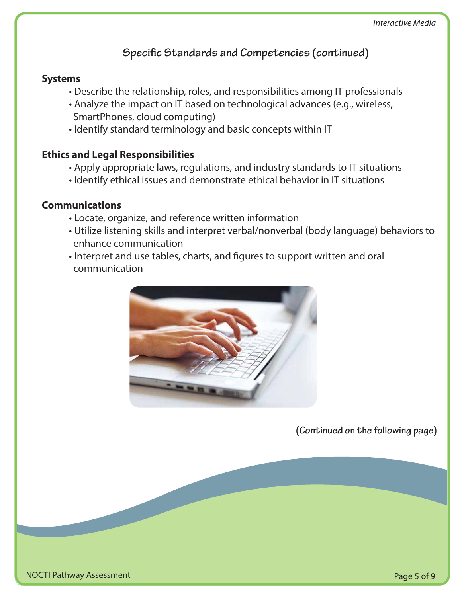## **Specific Standards and Competencies (continued)**

## **Systems**

- Describe the relationship, roles, and responsibilities among IT professionals
- Analyze the impact on IT based on technological advances (e.g., wireless, SmartPhones, cloud computing)
- Identify standard terminology and basic concepts within IT

## **Ethics and Legal Responsibilities**

- Apply appropriate laws, regulations, and industry standards to IT situations
- Identify ethical issues and demonstrate ethical behavior in IT situations

## **Communications**

- Locate, organize, and reference written information
- Utilize listening skills and interpret verbal/nonverbal (body language) behaviors to enhance communication
- Interpret and use tables, charts, and figures to support written and oral communication



**(Continued on the following page)**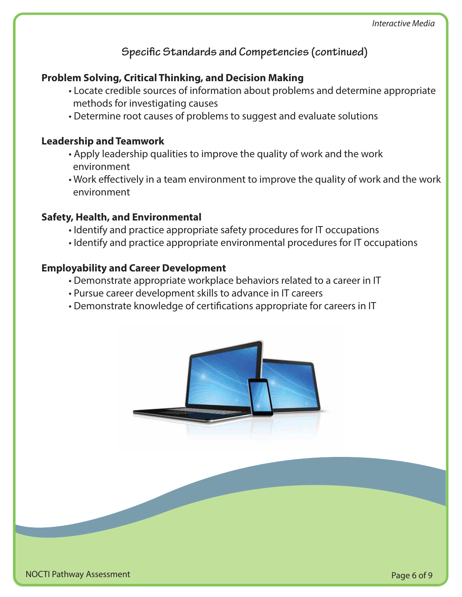**Specific Standards and Competencies (continued)** 

## **Problem Solving, Critical Thinking, and Decision Making**

- Locate credible sources of information about problems and determine appropriate methods for investigating causes
- Determine root causes of problems to suggest and evaluate solutions

#### **Leadership and Teamwork**

- Apply leadership qualities to improve the quality of work and the work environment
- Work effectively in a team environment to improve the quality of work and the work environment

## **Safety, Health, and Environmental**

- Identify and practice appropriate safety procedures for IT occupations
- Identify and practice appropriate environmental procedures for IT occupations

#### **Employability and Career Development**

- Demonstrate appropriate workplace behaviors related to a career in IT
- Pursue career development skills to advance in IT careers
- Demonstrate knowledge of certifications appropriate for careers in IT

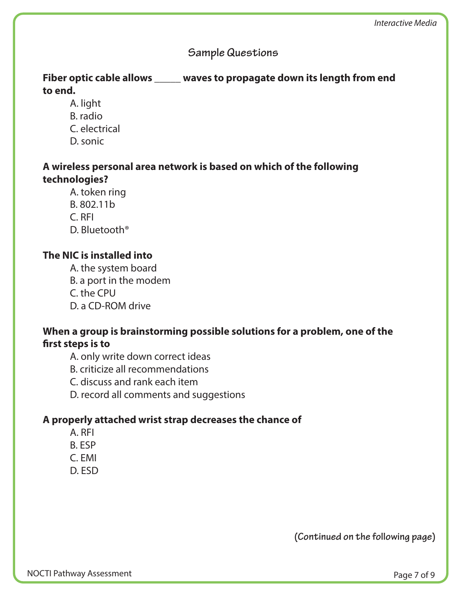## **Sample Questions**

## **Fiber optic cable allows \_\_\_\_\_ waves to propagate down its length from end to end.**

- A. light
- B. radio
- C. electrical
- D. sonic

## **A wireless personal area network is based on which of the following technologies?**

- A. token ring
- B. 802.11b
- C. RFI
- D. Bluetooth®

## **The NIC is installed into**

- A. the system board
- B. a port in the modem
- C. the CPU
- D. a CD-ROM drive

## **When a group is brainstorming possible solutions for a problem, one of the**  first steps is to

- A. only write down correct ideas
- B. criticize all recommendations
- C. discuss and rank each item
- D. record all comments and suggestions

## **A properly attached wrist strap decreases the chance of**

- A. RFI
- B. ESP
- C. EMI
- D. ESD

**(Continued on the following page)**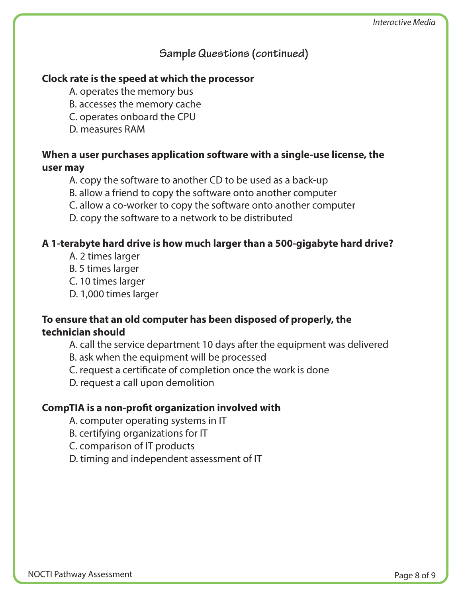## **Sample Questions (continued)**

## **Clock rate is the speed at which the processor**

- A. operates the memory bus
- B. accesses the memory cache
- C. operates onboard the CPU
- D. measures RAM

## **When a user purchases application software with a single-use license, the user may**

- A. copy the software to another CD to be used as a back-up
- B. allow a friend to copy the software onto another computer
- C. allow a co-worker to copy the software onto another computer
- D. copy the software to a network to be distributed

## **A 1-terabyte hard drive is how much larger than a 500-gigabyte hard drive?**

- A. 2 times larger
- B. 5 times larger
- C. 10 times larger
- D. 1,000 times larger

## **To ensure that an old computer has been disposed of properly, the technician should**

- A. call the service department 10 days after the equipment was delivered
- B. ask when the equipment will be processed
- C. request a certificate of completion once the work is done
- D. request a call upon demolition

## **CompTIA is a non-profit organization involved with**

- A. computer operating systems in IT
- B. certifying organizations for IT
- C. comparison of IT products
- D. timing and independent assessment of IT